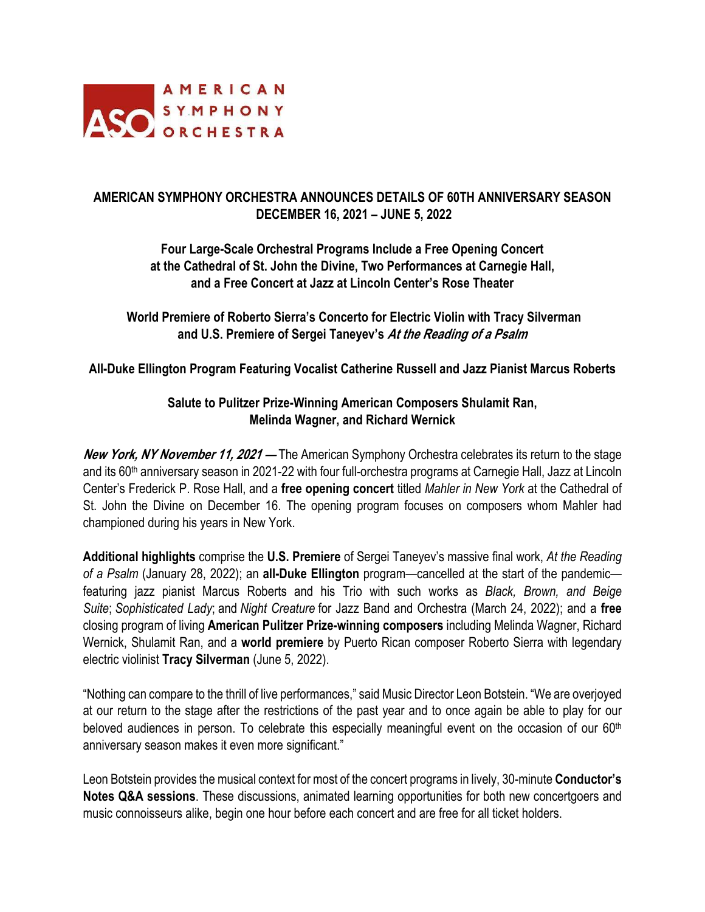

# **AMERICAN SYMPHONY ORCHESTRA ANNOUNCES DETAILS OF 60TH ANNIVERSARY SEASON DECEMBER 16, 2021 – JUNE 5, 2022**

# **Four Large-Scale Orchestral Programs Include a Free Opening Concert at the Cathedral of St. John the Divine, Two Performances at Carnegie Hall, and a Free Concert at Jazz at Lincoln Center's Rose Theater**

**World Premiere of Roberto Sierra's Concerto for Electric Violin with Tracy Silverman and U.S. Premiere of Sergei Taneyev's At the Reading of a Psalm** 

**All-Duke Ellington Program Featuring Vocalist Catherine Russell and Jazz Pianist Marcus Roberts** 

# **Salute to Pulitzer Prize-Winning American Composers Shulamit Ran, Melinda Wagner, and Richard Wernick**

**New York, NY November 11, 2021 —** The American Symphony Orchestra celebrates its return to the stage and its 60th anniversary season in 2021-22 with four full-orchestra programs at Carnegie Hall, Jazz at Lincoln Center's Frederick P. Rose Hall, and a **free opening concert** titled *Mahler in New York* at the Cathedral of St. John the Divine on December 16. The opening program focuses on composers whom Mahler had championed during his years in New York.

**Additional highlights** comprise the **U.S. Premiere** of Sergei Taneyev's massive final work, *At the Reading of a Psalm* (January 28, 2022); an **all-Duke Ellington** program—cancelled at the start of the pandemic featuring jazz pianist Marcus Roberts and his Trio with such works as *Black, Brown, and Beige Suite*; *Sophisticated Lady*; and *Night Creature* for Jazz Band and Orchestra (March 24, 2022); and a **free** closing program of living **American Pulitzer Prize-winning composers** including Melinda Wagner, Richard Wernick, Shulamit Ran, and a **world premiere** by Puerto Rican composer Roberto Sierra with legendary electric violinist **Tracy Silverman** (June 5, 2022).

"Nothing can compare to the thrill of live performances," said Music Director Leon Botstein. "We are overjoyed at our return to the stage after the restrictions of the past year and to once again be able to play for our beloved audiences in person. To celebrate this especially meaningful event on the occasion of our 60<sup>th</sup> anniversary season makes it even more significant."

Leon Botstein provides the musical context for most of the concert programs in lively, 30-minute **Conductor's Notes Q&A sessions**. These discussions, animated learning opportunities for both new concertgoers and music connoisseurs alike, begin one hour before each concert and are free for all ticket holders.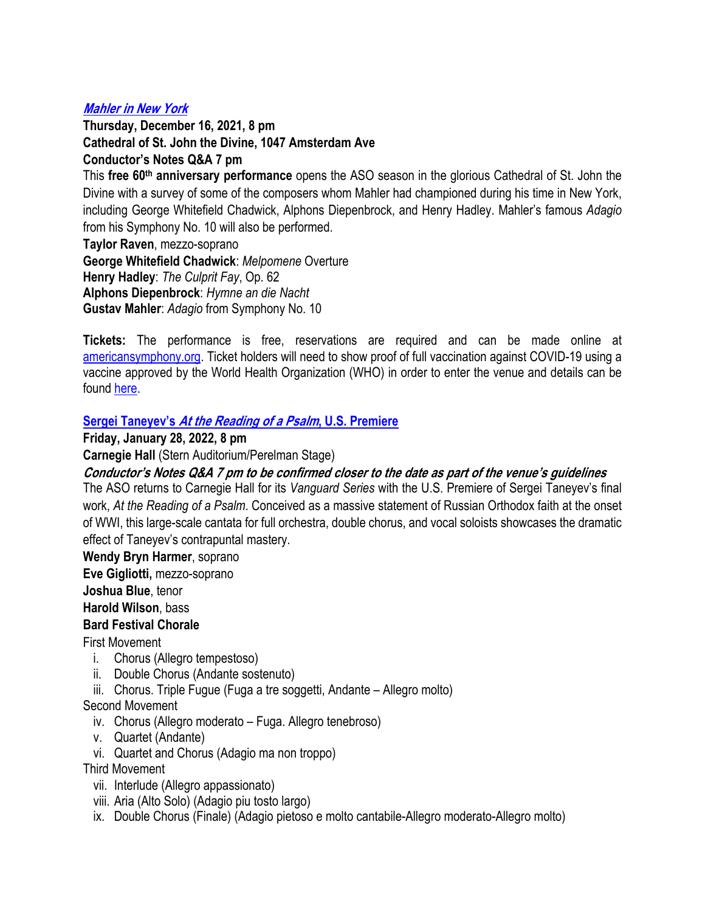# **Mahler in New York**

**Thursday, December 16, 2021, 8 pm Cathedral of St. John the Divine, 1047 Amsterdam Ave Conductor's Notes Q&A 7 pm**

This **free 60th anniversary performance** opens the ASO season in the glorious Cathedral of St. John the Divine with a survey of some of the composers whom Mahler had championed during his time in New York, including George Whitefield Chadwick, Alphons Diepenbrock, and Henry Hadley. Mahler's famous *Adagio* from his Symphony No. 10 will also be performed.

**Taylor Raven**, mezzo-soprano **George Whitefield Chadwick**: *Melpomene* Overture **Henry Hadley**: *The Culprit Fay*, Op. 62 **Alphons Diepenbrock**: *Hymne an die Nacht* **Gustav Mahler**: *Adagio* from Symphony No. 10

**Tickets:** The performance is free, reservations are required and can be made online at americansymphony.org. Ticket holders will need to show proof of full vaccination against COVID-19 using a vaccine approved by the World Health Organization (WHO) in order to enter the venue and details can be found here.

## **Sergei Taneyev's At the Reading of a Psalm, U.S. Premiere**

### **Friday, January 28, 2022, 8 pm**

**Carnegie Hall** (Stern Auditorium/Perelman Stage)

**Conductor's Notes Q&A 7 pm to be confirmed closer to the date as part of the venue's guidelines**

The ASO returns to Carnegie Hall for its *Vanguard Series* with the U.S. Premiere of Sergei Taneyev's final work, *At the Reading of a Psalm*. Conceived as a massive statement of Russian Orthodox faith at the onset of WWI, this large-scale cantata for full orchestra, double chorus, and vocal soloists showcases the dramatic effect of Taneyev's contrapuntal mastery.

**Wendy Bryn Harmer**, soprano

**Eve Gigliotti,** mezzo-soprano

**Joshua Blue**, tenor

**Harold Wilson**, bass

## **Bard Festival Chorale**

First Movement

- i. Chorus (Allegro tempestoso)
- ii. Double Chorus (Andante sostenuto)
- iii. Chorus. Triple Fugue (Fuga a tre soggetti, Andante Allegro molto)

## Second Movement

- iv. Chorus (Allegro moderato Fuga. Allegro tenebroso)
- v. Quartet (Andante)
- vi. Quartet and Chorus (Adagio ma non troppo)

Third Movement

- vii. Interlude (Allegro appassionato)
- viii. Aria (Alto Solo) (Adagio piu tosto largo)
- ix. Double Chorus (Finale) (Adagio pietoso e molto cantabile-Allegro moderato-Allegro molto)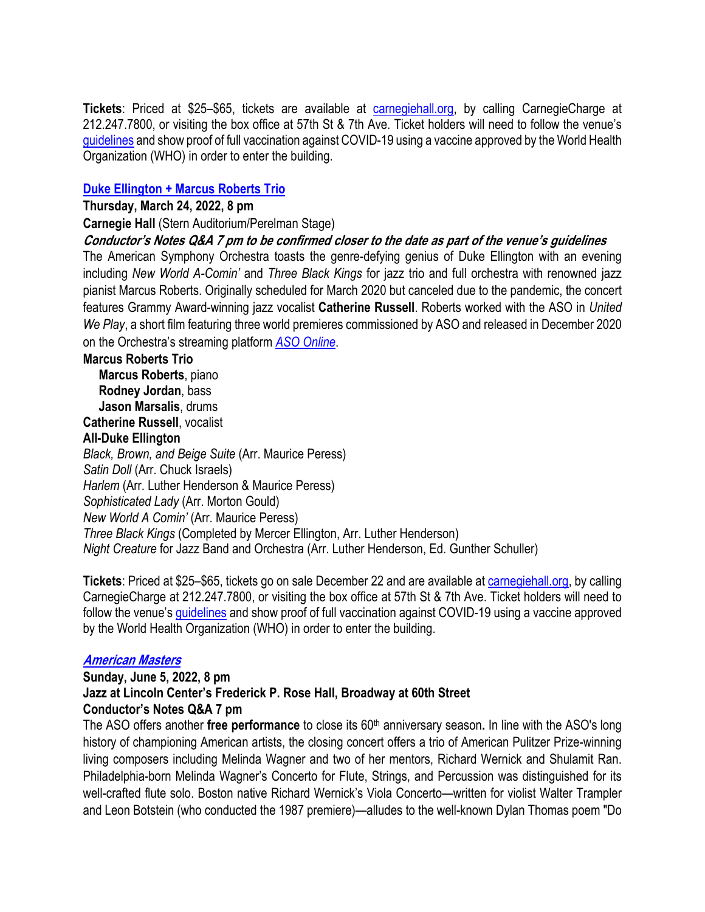**Tickets**: Priced at \$25–\$65, tickets are available at carnegiehall.org, by calling CarnegieCharge at 212.247.7800, or visiting the box office at 57th St & 7th Ave. Ticket holders will need to follow the venue's guidelines and show proof of full vaccination against COVID-19 using a vaccine approved by the World Health Organization (WHO) in order to enter the building.

### **Duke Ellington + Marcus Roberts Trio**

#### **Thursday, March 24, 2022, 8 pm**

**Carnegie Hall** (Stern Auditorium/Perelman Stage)

## **Conductor's Notes Q&A 7 pm to be confirmed closer to the date as part of the venue's guidelines**

The American Symphony Orchestra toasts the genre-defying genius of Duke Ellington with an evening including *New World A-Comin'* and *Three Black Kings* for jazz trio and full orchestra with renowned jazz pianist Marcus Roberts. Originally scheduled for March 2020 but canceled due to the pandemic, the concert features Grammy Award-winning jazz vocalist **Catherine Russell**. Roberts worked with the ASO in *United We Play*, a short film featuring three world premieres commissioned by ASO and released in December 2020 on the Orchestra's streaming platform *ASO Online*.

#### **Marcus Roberts Trio**

 **Marcus Roberts**, piano  **Rodney Jordan**, bass  **Jason Marsalis**, drums

**Catherine Russell**, vocalist

#### **All-Duke Ellington**

*Black, Brown, and Beige Suite* (Arr. Maurice Peress) *Satin Doll* (Arr. Chuck Israels) *Harlem* (Arr. Luther Henderson & Maurice Peress) *Sophisticated Lady* (Arr. Morton Gould) *New World A Comin'* (Arr. Maurice Peress) *Three Black Kings* (Completed by Mercer Ellington, Arr. Luther Henderson) *Night Creature* for Jazz Band and Orchestra (Arr. Luther Henderson, Ed. Gunther Schuller)

**Tickets**: Priced at \$25–\$65, tickets go on sale December 22 and are available at carnegiehall.org, by calling CarnegieCharge at 212.247.7800, or visiting the box office at 57th St & 7th Ave. Ticket holders will need to follow the venue's guidelines and show proof of full vaccination against COVID-19 using a vaccine approved by the World Health Organization (WHO) in order to enter the building.

## **American Masters**

## **Sunday, June 5, 2022, 8 pm Jazz at Lincoln Center's Frederick P. Rose Hall, Broadway at 60th Street Conductor's Notes Q&A 7 pm**

The ASO offers another free performance to close its 60<sup>th</sup> anniversary season. In line with the ASO's long history of championing American artists, the closing concert offers a trio of American Pulitzer Prize-winning living composers including Melinda Wagner and two of her mentors, Richard Wernick and Shulamit Ran. Philadelphia-born Melinda Wagner's Concerto for Flute, Strings, and Percussion was distinguished for its well-crafted flute solo. Boston native Richard Wernick's Viola Concerto—written for violist Walter Trampler and Leon Botstein (who conducted the 1987 premiere)—alludes to the well-known Dylan Thomas poem "Do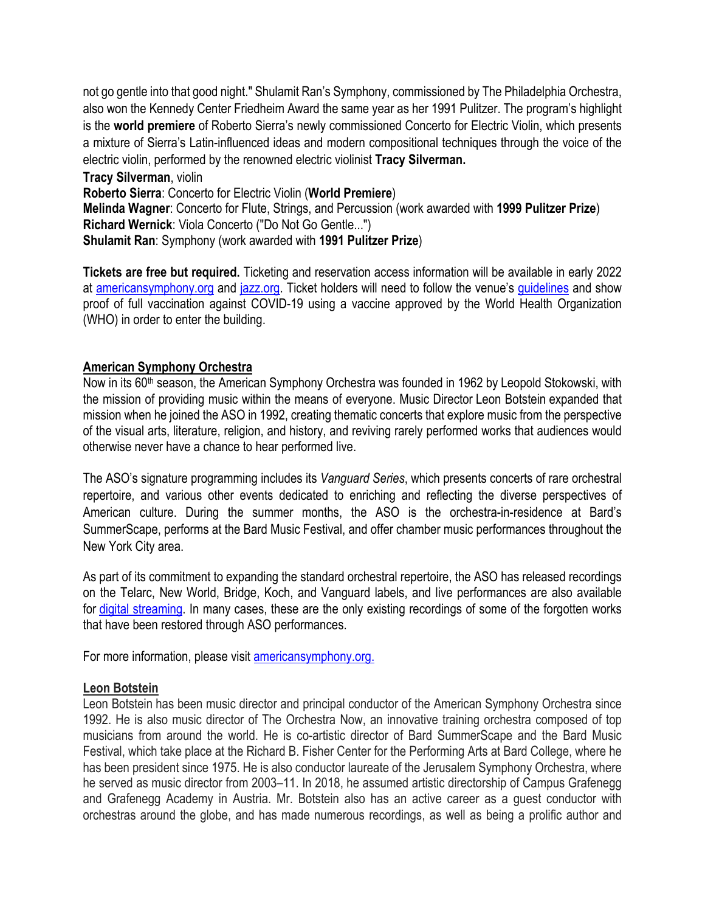not go gentle into that good night." Shulamit Ran's Symphony, commissioned by The Philadelphia Orchestra, also won the Kennedy Center Friedheim Award the same year as her 1991 Pulitzer. The program's highlight is the **world premiere** of Roberto Sierra's newly commissioned Concerto for Electric Violin, which presents a mixture of Sierra's Latin-influenced ideas and modern compositional techniques through the voice of the electric violin, performed by the renowned electric violinist **Tracy Silverman. Tracy Silverman**, violin **Roberto Sierra**: Concerto for Electric Violin (**World Premiere**) **Melinda Wagner**: Concerto for Flute, Strings, and Percussion (work awarded with **1999 Pulitzer Prize**) **Richard Wernick**: Viola Concerto ("Do Not Go Gentle...")

**Shulamit Ran**: Symphony (work awarded with **1991 Pulitzer Prize**)

**Tickets are free but required.** Ticketing and reservation access information will be available in early 2022 at americansymphony.org and jazz.org. Ticket holders will need to follow the venue's guidelines and show proof of full vaccination against COVID-19 using a vaccine approved by the World Health Organization (WHO) in order to enter the building.

## **American Symphony Orchestra**

Now in its 60th season, the American Symphony Orchestra was founded in 1962 by Leopold Stokowski, with the mission of providing music within the means of everyone. Music Director Leon Botstein expanded that mission when he joined the ASO in 1992, creating thematic concerts that explore music from the perspective of the visual arts, literature, religion, and history, and reviving rarely performed works that audiences would otherwise never have a chance to hear performed live.

The ASO's signature programming includes its *Vanguard Series*, which presents concerts of rare orchestral repertoire, and various other events dedicated to enriching and reflecting the diverse perspectives of American culture. During the summer months, the ASO is the orchestra-in-residence at Bard's SummerScape, performs at the Bard Music Festival, and offer chamber music performances throughout the New York City area.

As part of its commitment to expanding the standard orchestral repertoire, the ASO has released recordings on the Telarc, New World, Bridge, Koch, and Vanguard labels, and live performances are also available for digital streaming. In many cases, these are the only existing recordings of some of the forgotten works that have been restored through ASO performances.

For more information, please visit americansymphony.org.

## **Leon Botstein**

Leon Botstein has been music director and principal conductor of the American Symphony Orchestra since 1992. He is also music director of The Orchestra Now, an innovative training orchestra composed of top musicians from around the world. He is co-artistic director of Bard SummerScape and the Bard Music Festival, which take place at the Richard B. Fisher Center for the Performing Arts at Bard College, where he has been president since 1975. He is also conductor laureate of the Jerusalem Symphony Orchestra, where he served as music director from 2003–11. In 2018, he assumed artistic directorship of Campus Grafenegg and Grafenegg Academy in Austria. Mr. Botstein also has an active career as a guest conductor with orchestras around the globe, and has made numerous recordings, as well as being a prolific author and